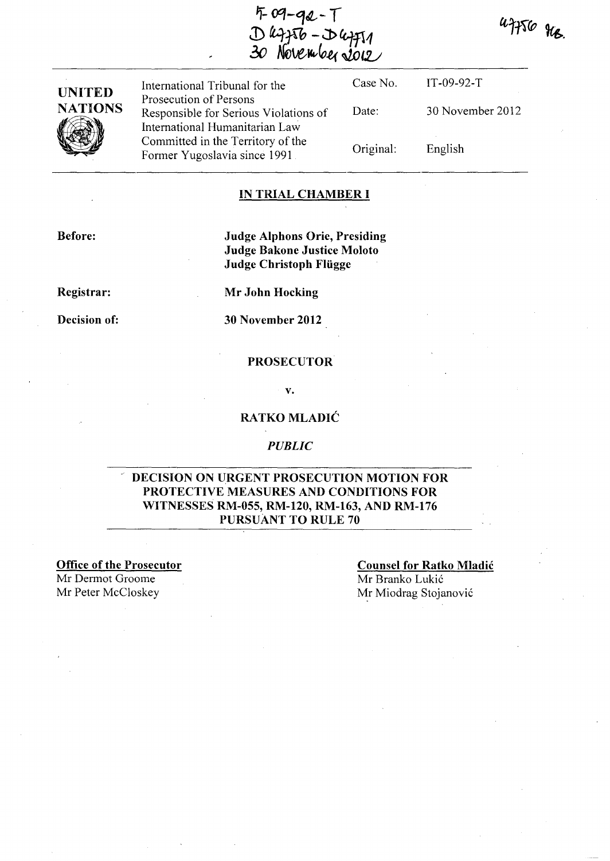uff56 gcg.

IT-09-92-T

English

30 November 2012

 $4 - 9 - 92 - 1$ S leffto - D lefft1<br>O November 2012

**UNITED NATIONS** 

International Tribunal for the Prosecution of Persons Responsible for Serious Violations of International Humanitarian Law Committed in the Territory of the Former Yugoslavia since 1991 Case No. Date: Original:

### **IN TRIAL CHAMBER I**

**Before:** 

**Judge Alphons Orie, Presiding Judge Bakone Justice Moloto Judge Christoph Fliigge** 

**Registrar:** 

**Decision of:** 

**Mr John Hocking** 

**30 November 2012** 

#### **PROSECUTOR**

#### **v.**

## **RA TKO MLADIC**

#### *PUBLIC*

## **DECISION ON URGENT PROSECUTION MOTION FOR PROTECTIVE MEASURES AND CONDITIONS FOR WITNESSES RM-055, RM-120, RM-163, AND RM-176 PURsuANT TO RULE 70**

**Office of the Prosecutor** 

Mr Dermot Groome

## **Counsel for Ratko Mladic**  Mr Branko Lukic Mr Peter McCloskey Mr Miodrag Stojanović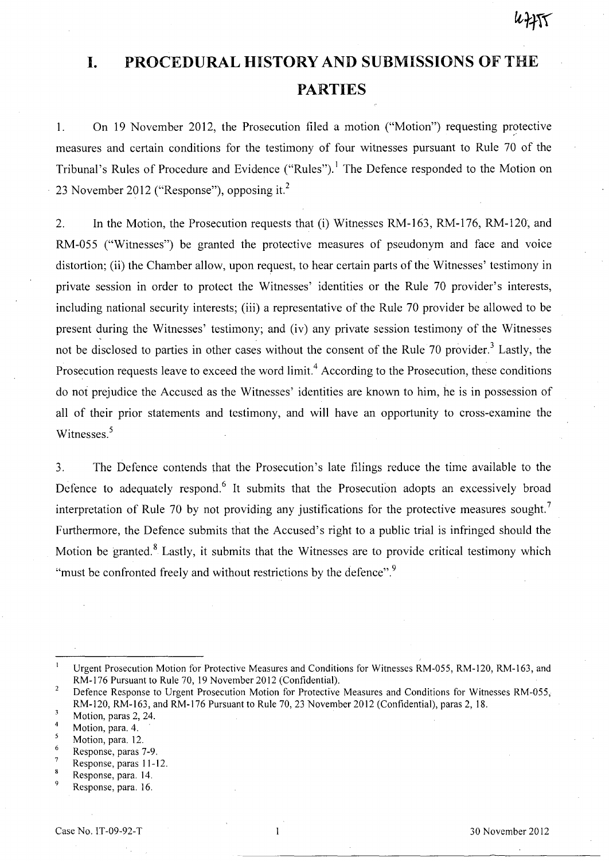# **I. PROCEDURAL HISTORY AND SUBMISSIONS OF THE PARTIES**

1. On 19 November 2012, the Prosecution filed a motion ("Motion") requesting protective measures and certain conditions for the testimony of four witnesses pursuant to Rule 70 of the Tribunal's Rules of Procedure and Evidence ("Rules").<sup>1</sup> The Defence responded to the Motion on 23 November 2012 ("Response"), opposing it. <sup>2</sup>

2. In the Motion, the Prosecution requests that (i) Witnesses RM-163, RM-176, RM-120, and RM-055 ("Witnesses") be granted the protective measures of pseudonym and face and voice distortion; (ii) the Chamber allow, upon request, to hear certain parts of the Witnesses' testimony in private session in order to protect the Witnesses' identities or the Rule 70 provider's interests, including national security interests; (iii) a representative of the Rule 70 provider be allowed to be present during the Witnesses' testimony; and (iv) any private session testimony of the Witnesses not be disclosed to parties in other cases without the consent of the Rule 70 provider.<sup>3</sup> Lastly, the Prosecution requests leave to exceed the word limit.<sup>4</sup> According to the Prosecution, these conditions do not prejudice the Accused as the Witnesses' identities are known to him, he is in possession of all of their prior statements and testimony, and will have an opportunity to cross-examine the Witnesses.<sup>5</sup>

3. The Defence contends that the Prosecution's late filings reduce the time available to the Defence to adequately respond.<sup>6</sup> It submits that the Prosecution adopts an excessively broad interpretation of Rule 70 by not providing any justifications for the protective measures sought.<sup>7</sup> Furthermore, the Defence submits that the Accused's right to a public trial is infringed should the Motion be granted.<sup>8</sup> Lastly, it submits that the Witnesses are to provide critical testimony which "must be confronted freely and without restrictions by the defence".<sup>9</sup>

 $\overline{7}$ Response, paras 11-12.

Urgent Prosecution Motion for Protective Measures and Conditions for Witnesses RM-055, RM-120, RM-163, and RM-176 Pursuant to Rule 70, 19 November 2012 (Confidential).

 $\overline{2}$ Defence Response to Urgent Prosecution Motion for Protective Measures and Conditions for Witnesses RM-055, RM-120, RM-163, and RM-176 Pursuant to Rule 70, 23 November 2012 (Confidential), paras 2,18.

 $\overline{3}$ Motion, paras 2, 24.

 $\overline{4}$ Motion, para. 4.

 $\overline{\mathbf{5}}$ Motion, para. 12.

 $\boldsymbol{6}$ Response, paras 7-9.

 ${\bf 8}$ Response, para. 14.

Response, para. 16.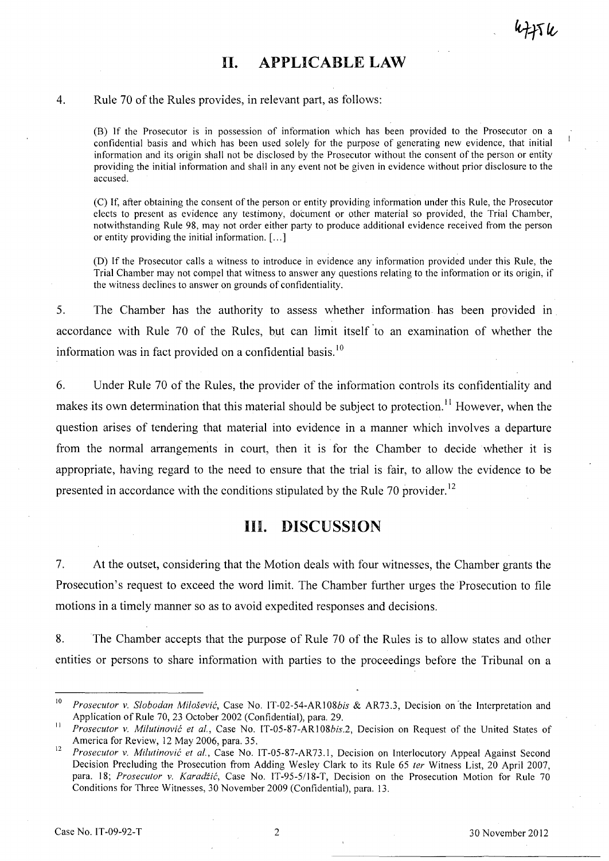# **II. APPLICABLE LAW**

#### 4. Rule 70 of the Rules provides, in relevant part, as follows:

(8) If the Prosecutor is in possession of information which has been provided to the Prosecutor on a confidential basis and which has been used solely for the purpose of generating new evidence, that initial information and its origin shall not be disclosed by the Prosecutor without the consent of the person or entity providing the initial information and shall in any event not be given in evidence without prior disclosure to the accused.

(C) If, after obtaining the consent of the person or entity providing information under this Rule, the Prosecutor elects to present as evidence any testimony, document or other material so provided, the Trial Chamber, notwithstanding Rule 9S, may not order either party to produce additional evidence received from the person or entity providing the initial information. [ ... ]

(D) If the Prosecutor calls a witness to introduce in evidence any information provided under this Rule, the Trial Chamber may not compel that witness to answer any questions relating to the information or its origin, if the witness declines to answer on grounds of confidentiality.

5. The Chamber has the authority to assess whether information has been provided in accordance with Rule 70 of the Rules, but can limit itself to an examination of whether the information was in fact provided on a confidential basis. $^{10}$ 

6. Under Rule 70 of the Rules, the provider of the inforination controls its confidentiality and makes its own determination that this material should be subject to protection.<sup>11</sup> However, when the question arises of tendering that material into evidence in a manner which involves a departure from the normal arrangements in court, then it is for the Chamber to decide whether it is appropriate, having regard to the need to ensure that the trial is fair, to allow the evidence to be presented in accordance with the conditions stipulated by the Rule 70 provider.<sup>12</sup>

# **III. DISCUSSION**

7. At the outset, considering that the Motion deals with four witnesses, the Chamber grants the Prosecution's request to exceed the word limit. The Chamber further urges the Prosecution to file motions in a timely manner so as to avoid expedited responses and decisions.

8. The Chamber accepts that the purpose of Rule 70 of the Rules is to allow states and other entities or persons to share information with parties to the proceedings before the Tribunal on a

<sup>&</sup>lt;sup>10</sup> Prosecutor v. Slobodan Milošević, Case No. IT-02-54-AR108bis & AR73.3, Decision on the Interpretation and Application of Rule 70, 23 October 2002 (Confidential), para, 29.

<sup>&</sup>lt;sup>11</sup> *Prosecutor v. Milutinović et al.*, Case No. IT-05-87-AR108bis.2, Decision on Request of the United States of America for Review, 12 May 2006, para. 35. .

<sup>12</sup>*Prosecutor* v. *Milutinovic et aI.,* Case No. IT -05-S7 -AR 73.1, Decision on Interlocutory Appeal Against Second Decision Precluding the Prosecution from Adding Wesley Clark to its Rule 65 *ter* Witness List, 20 April 2007, para. IS; *Prosecutor* v. *Karadiic,* Case No. IT-95-5/IS-T, Decision on the Prosecution Motion for Rule 70 Conditions for Three Witnesses, 30 November 2009 (Confidential), para. 13.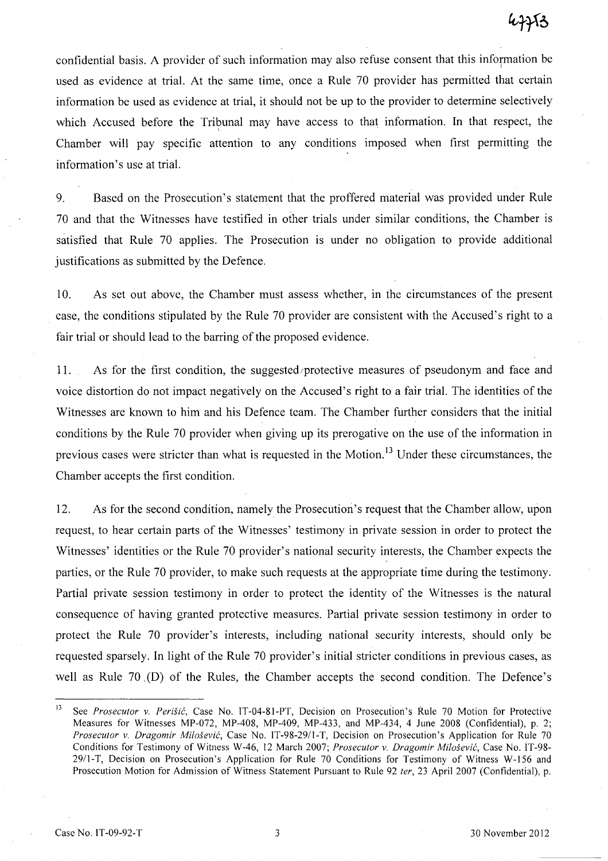confidential basis. A provider of such information may also refuse consent that this infornation be used as evidence at trial. At the same time, once a Rule 70 provider has permitted that certain information be used as evidence at trial, it should not be up to the provider to determine selectively which Accused before the Tribunal may have access to that information. In that respect, the Chamber will pay specific attention to any conditions imposed when first permitting the information's use at trial.

9. Based on the Prosecution's statement that the proffered material was provided under Rule 70 and that the Witnesses have testified in other trials under similar conditions, the Chamber is satisfied that Rule 70 applies. The Prosecution is under no obligation to provide additional justifications as submitted by the Defence.

10. As set out above, the Chamber must assess whether, in the circumstances of the present . case, the conditions stipulated by the Rule 70 provider are consistent with the Accused's right to a fair trial or should lead to the barring of the proposed evidence.

11. As for the first condition, the suggested/protective measures of pseudonym and face and voice distortion do not impact negatively on the Accused's right to a fair trial. The identities of the Witnesses are known to him and his Defence team. The Chamber further considers that the initial conditions by the Rule 70 provider when giving up its prerogative on the use of the information in previous cases were stricter than what is requested in the Motion.<sup>13</sup> Under these circumstances, the Chamber accepts the first condition.

12. As for the second condition, namely the Prosecution's request that the Chamber allow, upon request, to hear certain parts of the Witnesses' testimony in private session in order to protect the Witnesses' identities or the Rule 70 provider's national security interests, the Chamber expects the parties, or the Rule 70 provider, to make such requests at the appropriate time during the testimony. Partial private session testimony in order to protect the identity of the Witnesses is the natural consequence of having granted protective measures. Partial private session testimony in order to protect the Rule 70 provider's interests, including national security interests, should only be requested sparsely. In light of the Rule 70 provider's initial stricter conditions in previous cases, as well as Rule 70 ,(D) of the Rules, the Chamber accepts the second condition. The Defence's

<sup>13</sup> See *Prosecutor* v. *Perisic,* Case No. IT-04-SI-PT, Decision on Prosecution's Rule 70 Motion for Protective Measures for Witnesses MP-072, MP-40S, MP-409, MP-433, and MP-434, 4 June 200S (Confidential), p. 2; *Prosecutor* v. *Dragomir Milosevic,* Case No. IT-9S-29/I-T, Decision on Prosecution's Application for Rule 70 Conditions for Testimony of Witness W-46, 12 March 2007; *Prosecutor* v. *Dragomir Milosevic,* Case No. IT-9S-29/1-T, Decision on Prosecution's Application for Rule 70 Conditions for Testimony of Witness W-156 and Prosecution Motion for Admission of Witness Statement Pursuant to Rule 92 *ter,* 23 April 2007 (Confidential), p.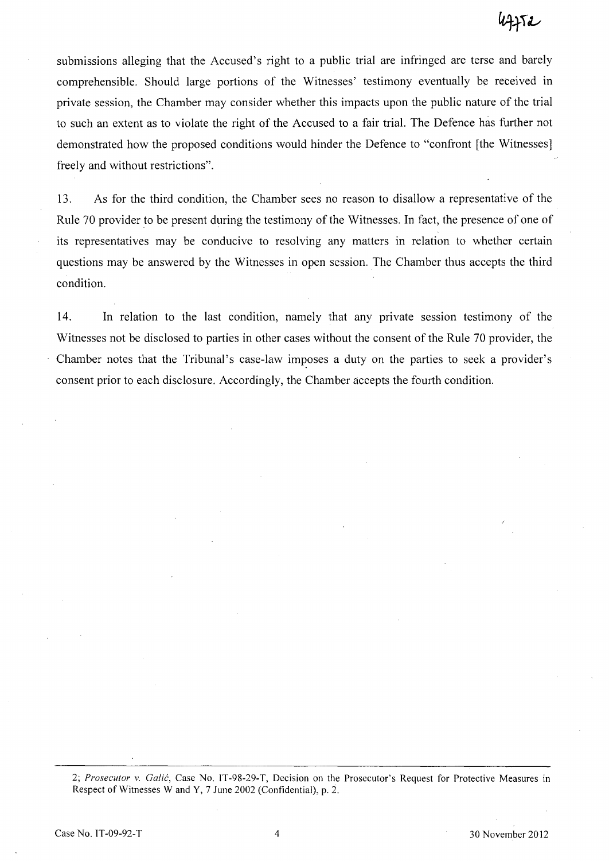submissions alleging that the Accused's right to a public trial are infringed are terse and barely comprehensible. Should large portions of the Witnesses' testimony eventually be received in private session, the Chamber may consider whether this impacts upon the public nature of the trial to such an extent as to violate the right of the Accused to a fair trial. The Defence has further not demonstrated how the proposed conditions would hinder the Defence to "confront [the Witnesses] freely and without restrictions".

13. As for the third condition, the Chamber sees no reason to disallow a representative of the Rule 70 provider to be present during the testimony of the Witnesses. **In** fact, the presence of one of its representatives may be conducive to resolving any matters in relation to whether certain questions may be answered by the Witnesses in open session. The Chamber thus accepts the third condition.

14. In relation to the last condition, namely that any private session testimony of the Witnesses not be disclosed to parties in other cases without the consent of the Rule 70 provider, the Chamber notes that the Tribunal's case-law imposes a duty on the parties to seek a provider's consent prior to each disclosure. Accordingly, the Chamber accepts the fourth condition.

*2; Prosecutor* v. *Galic,* Case No. IT-98-29-T, Decision on the Prosecutor's Request for Protective Measures in Respect of Witnesses Wand Y, 7 June 2002 (Confidential), p. 2.